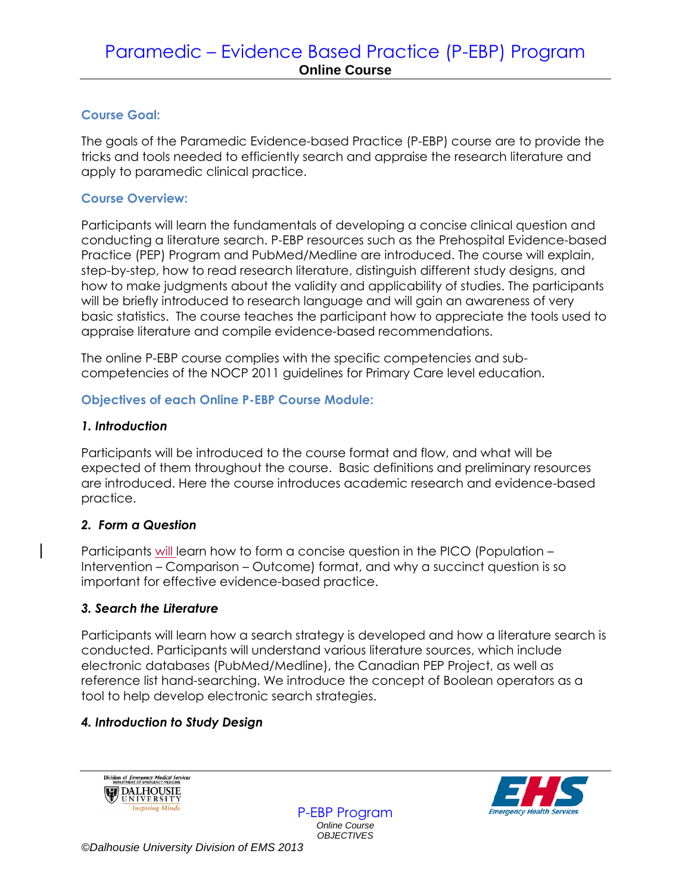## **Course Goal:**

The goals of the Paramedic Evidence-based Practice (P-EBP) course are to provide the tricks and tools needed to efficiently search and appraise the research literature and apply to paramedic clinical practice.

## **Course Overview:**

Participants will learn the fundamentals of developing a concise clinical question and conducting a literature search. P-EBP resources such as the Prehospital Evidence-based Practice (PEP) Program and PubMed/Medline are introduced. The course will explain, step-by-step, how to read research literature, distinguish different study designs, and how to make judgments about the validity and applicability of studies. The participants will be briefly introduced to research language and will gain an awareness of very basic statistics. The course teaches the participant how to appreciate the tools used to appraise literature and compile evidence-based recommendations.

The online P-EBP course complies with the specific competencies and subcompetencies of the NOCP 2011 guidelines for Primary Care level education.

# **Objectives of each Online P-EBP Course Module:**

## *1. Introduction*

Participants will be introduced to the course format and flow, and what will be expected of them throughout the course. Basic definitions and preliminary resources are introduced. Here the course introduces academic research and evidence-based practice.

# *2. Form a Question*

Participants will learn how to form a concise question in the PICO (Population – Intervention – Comparison – Outcome) format, and why a succinct question is so important for effective evidence-based practice.

### *3. Search the Literature*

Participants will learn how a search strategy is developed and how a literature search is conducted. Participants will understand various literature sources, which include electronic databases (PubMed/Medline), the Canadian PEP Project, as well as reference list hand-searching. We introduce the concept of Boolean operators as a tool to help develop electronic search strategies.

# *4. Introduction to Study Design*





P-EBP Program *Online Course OBJECTIVES*